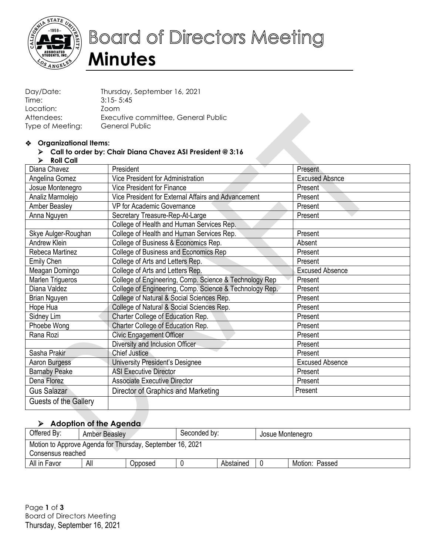

# **Board of Directors Meeting Minutes**

| Day/Date:        | Thursday, September 16, 2021        |
|------------------|-------------------------------------|
| Time:            | $3:15 - 5:45$                       |
| Location:        | Zoom                                |
| Attendees:       | Executive committee, General Public |
| Type of Meeting: | General Public                      |

#### **Organizational Items:**

# **Call to order by: Chair Diana Chavez ASI President @ 3:16**

**Roll Call**

| Diana Chavez            | President                                               | Present                |
|-------------------------|---------------------------------------------------------|------------------------|
| Angelina Gomez          | Vice President for Administration                       | <b>Excused Absnce</b>  |
| Josue Montenegro        | <b>Vice President for Finance</b>                       | Present                |
| Analiz Marmolejo        | Vice President for External Affairs and Advancement     | Present                |
| <b>Amber Beasley</b>    | VP for Academic Governance                              | Present                |
| Anna Nguyen             | Secretary Treasure-Rep-At-Large                         | Present                |
|                         | College of Health and Human Services Rep.               |                        |
| Skye Aulger-Roughan     | College of Health and Human Services Rep.               | Present                |
| <b>Andrew Klein</b>     | College of Business & Economics Rep.                    | Absent                 |
| Rebeca Martinez         | College of Business and Economics Rep                   | Present                |
| Emily Chen              | College of Arts and Letters Rep.                        | Present                |
| Meagan Domingo          | College of Arts and Letters Rep.                        | <b>Excused Absence</b> |
| <b>Marlen Trigueros</b> | College of Engineering, Comp. Science & Technology Rep  | Present                |
| Diana Valdez            | College of Engineering, Comp. Science & Technology Rep. | Present                |
| Brian Nguyen            | College of Natural & Social Sciences Rep.               | Present                |
| Hope Hua                | College of Natural & Social Sciences Rep.               | Present                |
| Sidney Lim              | Charter College of Education Rep.                       | Present                |
| Phoebe Wong             | Charter College of Education Rep.                       | Present                |
| Rana Rozi               | <b>Civic Engagement Officer</b>                         | Present                |
|                         | Diversity and Inclusion Officer                         | Present                |
| Sasha Prakir            | Chief Justice                                           | Present                |
| Aaron Burgess           | University President's Designee                         | <b>Excused Absence</b> |
| <b>Barnaby Peake</b>    | <b>ASI Executive Director</b>                           | Present                |
| Dena Florez             | <b>Associate Executive Director</b>                     | Present                |
| Gus Salazar             | Director of Graphics and Marketing                      | Present                |
| Guests of the Gallery   |                                                         |                        |
|                         |                                                         |                        |

### **Adoption of the Agenda**

| Offered By:                                                                    | Amber Beasley |         | Seconded by: |           | Josue Montenegro |                |  |
|--------------------------------------------------------------------------------|---------------|---------|--------------|-----------|------------------|----------------|--|
| Motion to Approve Agenda for Thursday, September 16, 2021<br>Consensus reached |               |         |              |           |                  |                |  |
| All in Favor                                                                   | All           | Opposed |              | Abstained |                  | Motion: Passed |  |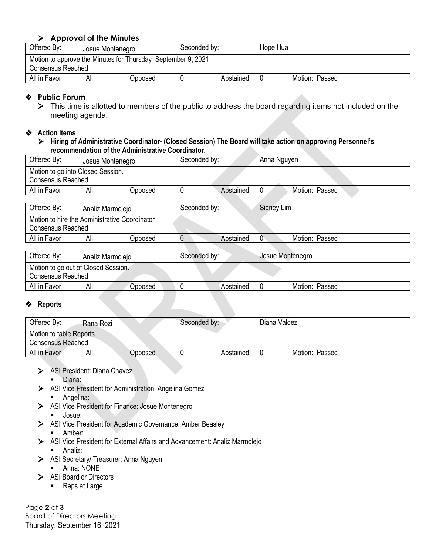#### **Approval of the Minutes**

| Offered By:                                                                              | Josue Montenegro |         | Seconded by: |           | Hope Hua |                |  |
|------------------------------------------------------------------------------------------|------------------|---------|--------------|-----------|----------|----------------|--|
| Motion to approve the Minutes for Thursday September 9, 2021<br><b>Consensus Reached</b> |                  |         |              |           |          |                |  |
| All in Favor                                                                             | All              | Opposed |              | Abstained | - 0      | Motion: Passed |  |

#### **Public Forum**

 $\triangleright$  This time is allotted to members of the public to address the board regarding items not included on the meeting agenda.

#### **Action Items**

 **Hiring of Administrative Coordinator- (Closed Session) The Board will take action on approving Personnel's recommendation of the Administrative Coordinator.**

| Offered By:                                   | Josue Montenegro |         | Seconded by:   |           | Anna Nguyen      |                |  |  |  |
|-----------------------------------------------|------------------|---------|----------------|-----------|------------------|----------------|--|--|--|
| Motion to go into Closed Session.             |                  |         |                |           |                  |                |  |  |  |
| <b>Consensus Reached</b>                      |                  |         |                |           |                  |                |  |  |  |
| All in Favor                                  | All              | Opposed |                | Abstained |                  | Motion: Passed |  |  |  |
|                                               |                  |         |                |           |                  |                |  |  |  |
| Offered By:                                   | Analiz Marmolejo |         | Seconded by:   |           | Sidney Lim       |                |  |  |  |
| Motion to hire the Administrative Coordinator |                  |         |                |           |                  |                |  |  |  |
| <b>Consensus Reached</b>                      |                  |         |                |           |                  |                |  |  |  |
| All in Favor                                  | All              | Opposed | Abstained<br>0 |           | $\mathbf{0}$     | Motion: Passed |  |  |  |
|                                               |                  |         |                |           |                  |                |  |  |  |
| Offered Ry:                                   | Anoliz Mormolojo |         | Seconded by:   |           | Insue Montenearo |                |  |  |  |

| Offered By:                                              | Analiz Marmolejo |         | Seconded by: |           | Josue Montenegro |                |
|----------------------------------------------------------|------------------|---------|--------------|-----------|------------------|----------------|
| Motion to go out of Closed Session.<br>Consensus Reached |                  |         |              |           |                  |                |
| All in Favor                                             | All              | Opposed |              | Abstained |                  | Motion: Passed |

#### **Reports**

| Offered By:             | Rana Rozi |                | Seconded by: |           | Diana Valdez |                |  |  |
|-------------------------|-----------|----------------|--------------|-----------|--------------|----------------|--|--|
| Motion to table Reports |           |                |              |           |              |                |  |  |
| Consensus Reached       |           |                |              |           |              |                |  |  |
| All in Favor            | All       | <b>Opposed</b> |              | Abstained |              | Motion: Passed |  |  |

- ASI President: Diana Chavez
	- Diana:
- ASI Vice President for Administration: Angelina Gomez
	- **-** Angelina:
- ASI Vice President for Finance: Josue Montenegro Josue:
- ASI Vice President for Academic Governance: Amber Beasley
	- **-** Amber:
- ASI Vice President for External Affairs and Advancement: Analiz Marmolejo
	- **Analiz:**
- > ASI Secretary/ Treasurer: Anna Nguyen
	- Anna: NONE
- ASI Board or Directors
	- Reps at Large

Page **2** of **3** Board of Directors Meeting Thursday, September 16, 2021